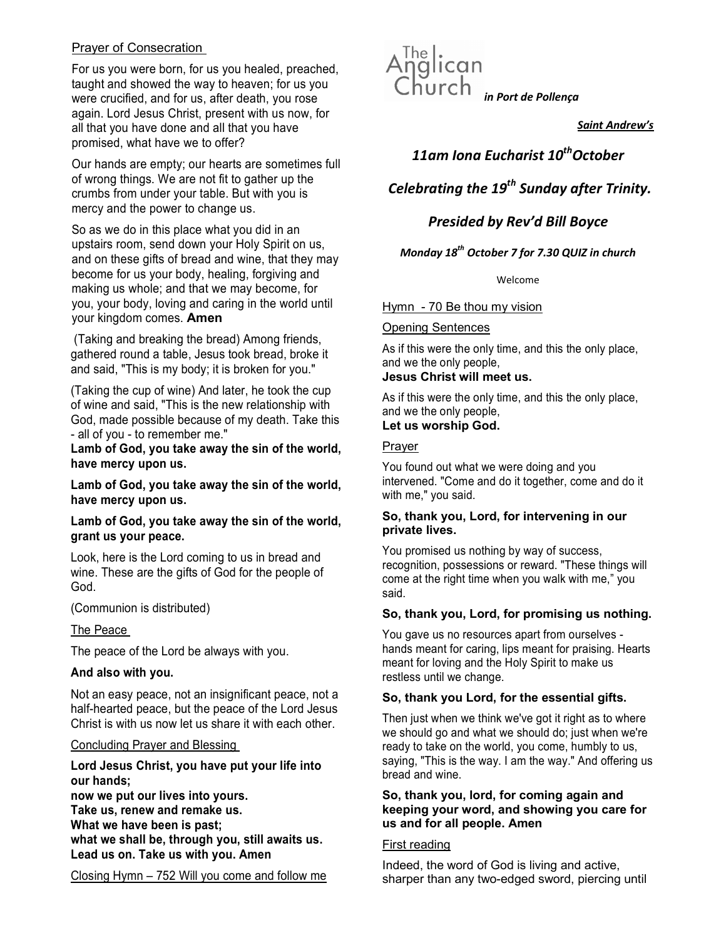# Prayer of Consecration

Prayer of Consectation<br>For us you were born, for us you healed, preached, Anglican<br>taught and showed the way to heaven; for us you<br>Church taught and showed the way to heaven; for us you were crucified, and for us, after death, you rose again. Lord Jesus Christ, present with us now, for all that you have done and all that you have promised, what have we to offer?

Our hands are empty; our hearts are sometimes full of wrong things. We are not fit to gather up the crumbs from under your table. But with you is mercy and the power to change us.

So as we do in this place what you did in an upstairs room, send down your Holy Spirit on us, and on these gifts of bread and wine, that they may become for us your body, healing, forgiving and making us whole; and that we may become, for you, your body, loving and caring in the world until your kingdom comes. Amen

 (Taking and breaking the bread) Among friends, gathered round a table, Jesus took bread, broke it and said, "This is my body; it is broken for you."

(Taking the cup of wine) And later, he took the cup of wine and said, "This is the new relationship with God, made possible because of my death. Take this - all of you - to remember me."

Lamb of God, you take away the sin of the world, have mercy upon us.

Lamb of God, you take away the sin of the world, have mercy upon us.

# Lamb of God, you take away the sin of the world, grant us your peace.

Look, here is the Lord coming to us in bread and wine. These are the gifts of God for the people of God.

(Communion is distributed)

# The Peace

The peace of the Lord be always with you.

# And also with you.

Not an easy peace, not an insignificant peace, not a half-hearted peace, but the peace of the Lord Jesus Christ is with us now let us share it with each other.

#### Concluding Prayer and Blessing

# Lord Jesus Christ, you have put your life into our hands;

now we put our lives into yours. Take us, renew and remake us. What we have been is past; what we shall be, through you, still awaits us. Lead us on. Take us with you. Amen

Closing Hymn – 752 Will you come and follow me



Saint Andrew's

# 11am Iona Eucharist 10<sup>th</sup>October

Celebrating the  $19<sup>th</sup>$  Sunday after Trinity.

# Presided by Rev'd Bill Boyce

# Monday  $18^{th}$  October 7 for 7.30 QUIZ in church

Welcome

Hymn - 70 Be thou my vision

### Opening Sentences

As if this were the only time, and this the only place, and we the only people,

# Jesus Christ will meet us.

As if this were the only time, and this the only place, and we the only people, Let us worship God.

# Prayer

You found out what we were doing and you intervened. "Come and do it together, come and do it with me," you said.

# So, thank you, Lord, for intervening in our private lives.

You promised us nothing by way of success, recognition, possessions or reward. "These things will come at the right time when you walk with me," you said.

# So, thank you, Lord, for promising us nothing.

You gave us no resources apart from ourselves hands meant for caring, lips meant for praising. Hearts meant for loving and the Holy Spirit to make us restless until we change.

# So, thank you Lord, for the essential gifts.

Then just when we think we've got it right as to where we should go and what we should do; just when we're ready to take on the world, you come, humbly to us, saying, "This is the way. I am the way." And offering us bread and wine.

### So, thank you, lord, for coming again and keeping your word, and showing you care for us and for all people. Amen

# First reading

Indeed, the word of God is living and active, sharper than any two-edged sword, piercing until